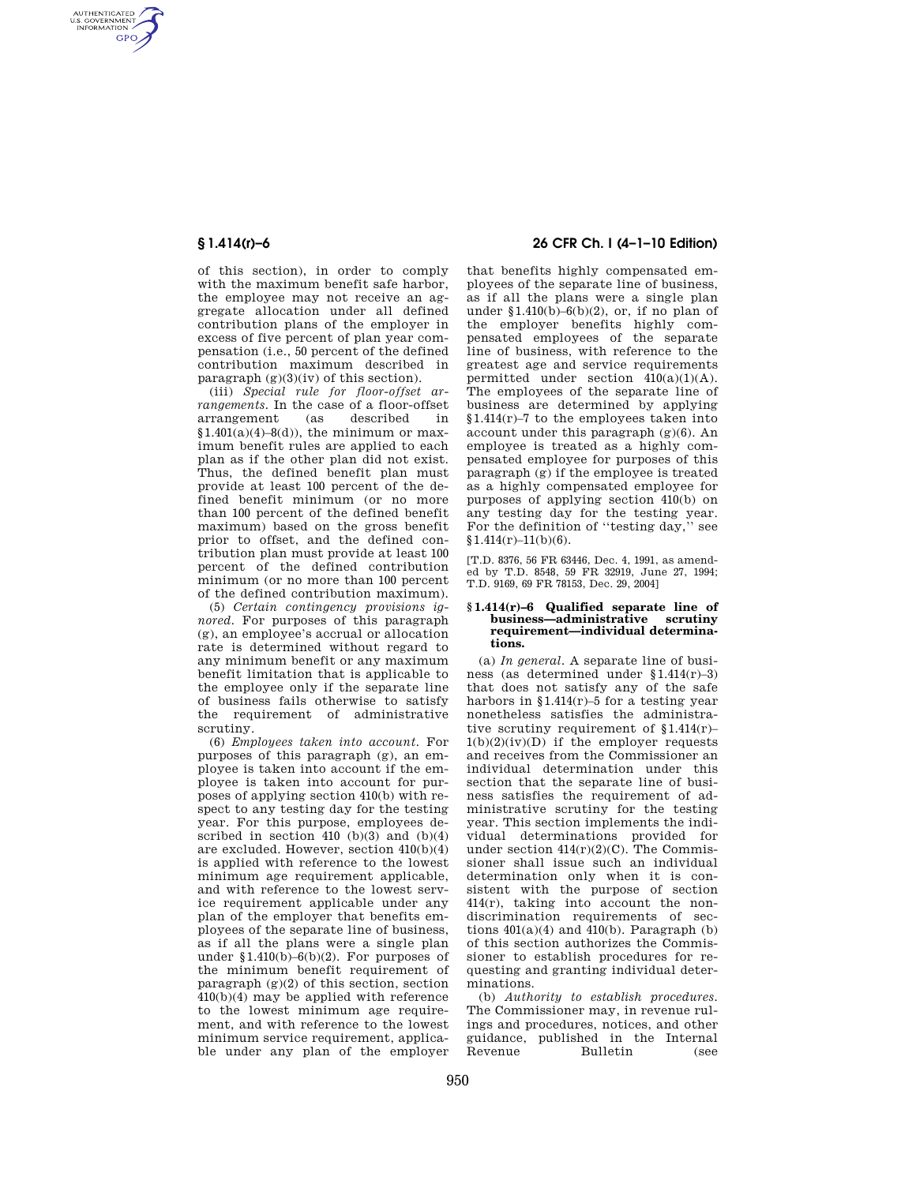AUTHENTICATED<br>U.S. GOVERNMENT<br>INFORMATION **GPO** 

> of this section), in order to comply with the maximum benefit safe harbor, the employee may not receive an aggregate allocation under all defined contribution plans of the employer in excess of five percent of plan year compensation (i.e., 50 percent of the defined contribution maximum described in paragraph  $(g)(3)(iv)$  of this section).

> (iii) *Special rule for floor-offset arrangements.* In the case of a floor-offset arrangement  $$1.401(a)(4)-8(d)$ , the minimum or maximum benefit rules are applied to each plan as if the other plan did not exist. Thus, the defined benefit plan must provide at least 100 percent of the defined benefit minimum (or no more than 100 percent of the defined benefit maximum) based on the gross benefit prior to offset, and the defined contribution plan must provide at least 100 percent of the defined contribution minimum (or no more than 100 percent of the defined contribution maximum).

> (5) *Certain contingency provisions ignored.* For purposes of this paragraph (g), an employee's accrual or allocation rate is determined without regard to any minimum benefit or any maximum benefit limitation that is applicable to the employee only if the separate line of business fails otherwise to satisfy the requirement of administrative scrutiny.

> (6) *Employees taken into account.* For purposes of this paragraph (g), an employee is taken into account if the employee is taken into account for purposes of applying section 410(b) with respect to any testing day for the testing year. For this purpose, employees described in section 410 (b)(3) and  $(b)(4)$ are excluded. However, section 410(b)(4) is applied with reference to the lowest minimum age requirement applicable, and with reference to the lowest service requirement applicable under any plan of the employer that benefits employees of the separate line of business, as if all the plans were a single plan under  $$1.410(b)-6(b)(2)$ . For purposes of the minimum benefit requirement of paragraph  $(g)(2)$  of this section, section 410(b)(4) may be applied with reference to the lowest minimum age requirement, and with reference to the lowest minimum service requirement, applicable under any plan of the employer

# **§ 1.414(r)–6 26 CFR Ch. I (4–1–10 Edition)**

that benefits highly compensated employees of the separate line of business, as if all the plans were a single plan under  $$1.410(b)-6(b)(2)$ , or, if no plan of the employer benefits highly compensated employees of the separate line of business, with reference to the greatest age and service requirements permitted under section  $410(a)(1)(A)$ . The employees of the separate line of business are determined by applying §1.414(r)–7 to the employees taken into account under this paragraph (g)(6). An employee is treated as a highly compensated employee for purposes of this paragraph (g) if the employee is treated as a highly compensated employee for purposes of applying section 410(b) on any testing day for the testing year. For the definition of ''testing day,'' see  $$1.414(r)-11(b)(6).$ 

[T.D. 8376, 56 FR 63446, Dec. 4, 1991, as amended by T.D. 8548, 59 FR 32919, June 27, 1994; T.D. 9169, 69 FR 78153, Dec. 29, 2004]

### **§ 1.414(r)–6 Qualified separate line of business—administrative scrutiny requirement—individual determinations.**

(a) *In general.* A separate line of business (as determined under §1.414(r)–3) that does not satisfy any of the safe harbors in  $$1.414(r)-5$  for a testing year nonetheless satisfies the administrative scrutiny requirement of §1.414(r)–  $1(b)(2)(iv)(D)$  if the employer requests and receives from the Commissioner an individual determination under this section that the separate line of business satisfies the requirement of administrative scrutiny for the testing year. This section implements the individual determinations provided for under section  $414(r)(2)(C)$ . The Commissioner shall issue such an individual determination only when it is consistent with the purpose of section 414(r), taking into account the nondiscrimination requirements of sections  $401(a)(4)$  and  $410(b)$ . Paragraph (b) of this section authorizes the Commissioner to establish procedures for requesting and granting individual determinations.

(b) *Authority to establish procedures.*  The Commissioner may, in revenue rulings and procedures, notices, and other guidance, published in the Internal Rulletin (see